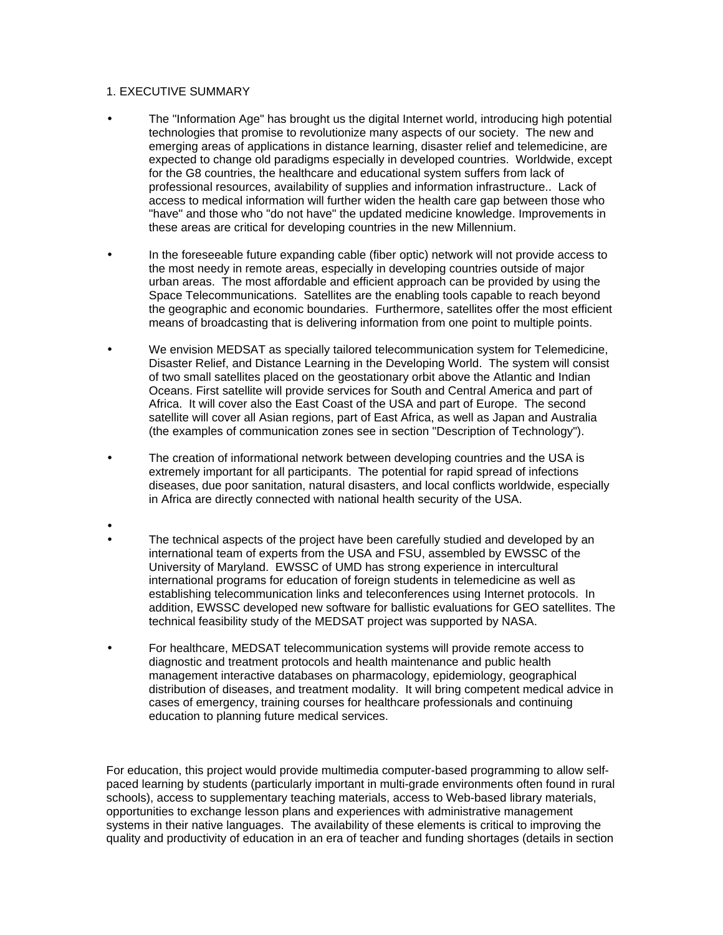## 1. EXECUTIVE SUMMARY

- The "Information Age" has brought us the digital Internet world, introducing high potential technologies that promise to revolutionize many aspects of our society. The new and emerging areas of applications in distance learning, disaster relief and telemedicine, are expected to change old paradigms especially in developed countries. Worldwide, except for the G8 countries, the healthcare and educational system suffers from lack of professional resources, availability of supplies and information infrastructure.. Lack of access to medical information will further widen the health care gap between those who "have" and those who "do not have" the updated medicine knowledge. Improvements in these areas are critical for developing countries in the new Millennium.
	- In the foreseeable future expanding cable (fiber optic) network will not provide access to the most needy in remote areas, especially in developing countries outside of major urban areas. The most affordable and efficient approach can be provided by using the Space Telecommunications. Satellites are the enabling tools capable to reach beyond the geographic and economic boundaries. Furthermore, satellites offer the most efficient means of broadcasting that is delivering information from one point to multiple points.
- We envision MEDSAT as specially tailored telecommunication system for Telemedicine, Disaster Relief, and Distance Learning in the Developing World. The system will consist of two small satellites placed on the geostationary orbit above the Atlantic and Indian Oceans. First satellite will provide services for South and Central America and part of Africa. It will cover also the East Coast of the USA and part of Europe. The second satellite will cover all Asian regions, part of East Africa, as well as Japan and Australia (the examples of communication zones see in section "Description of Technology").
- The creation of informational network between developing countries and the USA is extremely important for all participants. The potential for rapid spread of infections diseases, due poor sanitation, natural disasters, and local conflicts worldwide, especially in Africa are directly connected with national health security of the USA.
- • The technical aspects of the project have been carefully studied and developed by an international team of experts from the USA and FSU, assembled by EWSSC of the University of Maryland. EWSSC of UMD has strong experience in intercultural international programs for education of foreign students in telemedicine as well as establishing telecommunication links and teleconferences using Internet protocols. In addition, EWSSC developed new software for ballistic evaluations for GEO satellites. The technical feasibility study of the MEDSAT project was supported by NASA.
- For healthcare, MEDSAT telecommunication systems will provide remote access to diagnostic and treatment protocols and health maintenance and public health management interactive databases on pharmacology, epidemiology, geographical distribution of diseases, and treatment modality. It will bring competent medical advice in cases of emergency, training courses for healthcare professionals and continuing education to planning future medical services.

For education, this project would provide multimedia computer-based programming to allow selfpaced learning by students (particularly important in multi-grade environments often found in rural schools), access to supplementary teaching materials, access to Web-based library materials, opportunities to exchange lesson plans and experiences with administrative management systems in their native languages. The availability of these elements is critical to improving the quality and productivity of education in an era of teacher and funding shortages (details in section